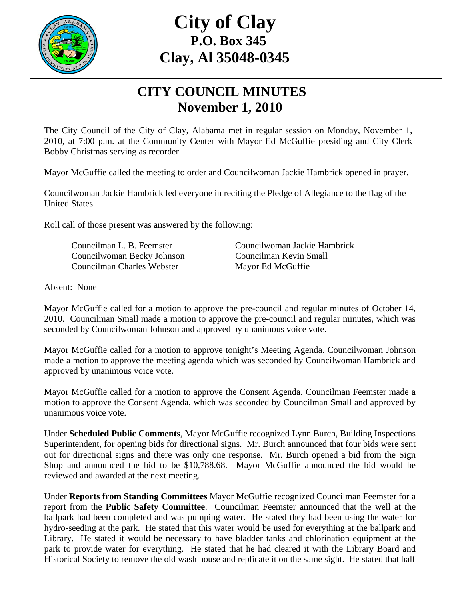

## **City of Clay P.O. Box 345 Clay, Al 35048-0345**

## **CITY COUNCIL MINUTES November 1, 2010**

The City Council of the City of Clay, Alabama met in regular session on Monday, November 1, 2010, at 7:00 p.m. at the Community Center with Mayor Ed McGuffie presiding and City Clerk Bobby Christmas serving as recorder.

Mayor McGuffie called the meeting to order and Councilwoman Jackie Hambrick opened in prayer.

Councilwoman Jackie Hambrick led everyone in reciting the Pledge of Allegiance to the flag of the United States.

Roll call of those present was answered by the following:

 Councilwoman Becky Johnson Councilman Kevin Small Councilman Charles Webster Mayor Ed McGuffie

Councilman L. B. Feemster Councilwoman Jackie Hambrick

Absent: None

Mayor McGuffie called for a motion to approve the pre-council and regular minutes of October 14, 2010. Councilman Small made a motion to approve the pre-council and regular minutes, which was seconded by Councilwoman Johnson and approved by unanimous voice vote.

Mayor McGuffie called for a motion to approve tonight's Meeting Agenda. Councilwoman Johnson made a motion to approve the meeting agenda which was seconded by Councilwoman Hambrick and approved by unanimous voice vote.

Mayor McGuffie called for a motion to approve the Consent Agenda. Councilman Feemster made a motion to approve the Consent Agenda, which was seconded by Councilman Small and approved by unanimous voice vote.

Under **Scheduled Public Comments**, Mayor McGuffie recognized Lynn Burch, Building Inspections Superintendent, for opening bids for directional signs. Mr. Burch announced that four bids were sent out for directional signs and there was only one response. Mr. Burch opened a bid from the Sign Shop and announced the bid to be \$10,788.68. Mayor McGuffie announced the bid would be reviewed and awarded at the next meeting.

Under **Reports from Standing Committees** Mayor McGuffie recognized Councilman Feemster for a report from the **Public Safety Committee**. Councilman Feemster announced that the well at the ballpark had been completed and was pumping water. He stated they had been using the water for hydro-seeding at the park. He stated that this water would be used for everything at the ballpark and Library. He stated it would be necessary to have bladder tanks and chlorination equipment at the park to provide water for everything. He stated that he had cleared it with the Library Board and Historical Society to remove the old wash house and replicate it on the same sight. He stated that half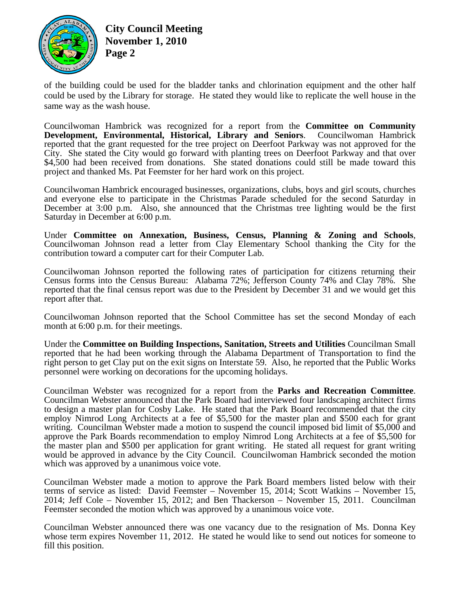

**City Council Meeting November 1, 2010 Page 2** 

of the building could be used for the bladder tanks and chlorination equipment and the other half could be used by the Library for storage. He stated they would like to replicate the well house in the same way as the wash house.

Councilwoman Hambrick was recognized for a report from the **Committee on Community Development, Environmental, Historical, Library and Seniors**. Councilwoman Hambrick reported that the grant requested for the tree project on Deerfoot Parkway was not approved for the City. She stated the City would go forward with planting trees on Deerfoot Parkway and that over \$4,500 had been received from donations. She stated donations could still be made toward this project and thanked Ms. Pat Feemster for her hard work on this project.

Councilwoman Hambrick encouraged businesses, organizations, clubs, boys and girl scouts, churches and everyone else to participate in the Christmas Parade scheduled for the second Saturday in December at 3:00 p.m. Also, she announced that the Christmas tree lighting would be the first Saturday in December at 6:00 p.m.

Under **Committee on Annexation, Business, Census, Planning & Zoning and Schools**, Councilwoman Johnson read a letter from Clay Elementary School thanking the City for the contribution toward a computer cart for their Computer Lab.

Councilwoman Johnson reported the following rates of participation for citizens returning their Census forms into the Census Bureau: Alabama 72%; Jefferson County 74% and Clay 78%. She reported that the final census report was due to the President by December 31 and we would get this report after that.

Councilwoman Johnson reported that the School Committee has set the second Monday of each month at  $6:00$  p.m. for their meetings.

Under the **Committee on Building Inspections, Sanitation, Streets and Utilities** Councilman Small reported that he had been working through the Alabama Department of Transportation to find the right person to get Clay put on the exit signs on Interstate 59. Also, he reported that the Public Works personnel were working on decorations for the upcoming holidays.

Councilman Webster was recognized for a report from the **Parks and Recreation Committee**. Councilman Webster announced that the Park Board had interviewed four landscaping architect firms to design a master plan for Cosby Lake. He stated that the Park Board recommended that the city employ Nimrod Long Architects at a fee of \$5,500 for the master plan and \$500 each for grant writing. Councilman Webster made a motion to suspend the council imposed bid limit of \$5,000 and approve the Park Boards recommendation to employ Nimrod Long Architects at a fee of \$5,500 for the master plan and \$500 per application for grant writing. He stated all request for grant writing would be approved in advance by the City Council. Councilwoman Hambrick seconded the motion which was approved by a unanimous voice vote.

Councilman Webster made a motion to approve the Park Board members listed below with their terms of service as listed: David Feemster – November 15, 2014; Scott Watkins – November 15, 2014; Jeff Cole – November 15, 2012; and Ben Thackerson – November 15, 2011. Councilman Feemster seconded the motion which was approved by a unanimous voice vote.

Councilman Webster announced there was one vacancy due to the resignation of Ms. Donna Key whose term expires November 11, 2012. He stated he would like to send out notices for someone to fill this position.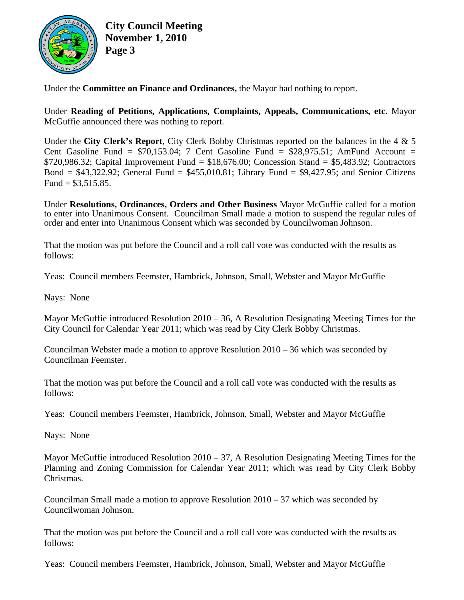

**City Council Meeting November 1, 2010 Page 3**

Under the **Committee on Finance and Ordinances,** the Mayor had nothing to report.

Under **Reading of Petitions, Applications, Complaints, Appeals, Communications, etc.** Mayor McGuffie announced there was nothing to report.

Under the **City Clerk's Report**, City Clerk Bobby Christmas reported on the balances in the 4 & 5 Cent Gasoline Fund =  $$70,153.04$ ; 7 Cent Gasoline Fund =  $$28,975.51$ ; AmFund Account =  $$720,986.32$ ; Capital Improvement Fund =  $$18,676.00$ ; Concession Stand =  $$5,483.92$ ; Contractors Bond =  $$43,322.92$ ; General Fund =  $$455,010.81$ ; Library Fund =  $$9,427.95$ ; and Senior Citizens Fund =  $$3,515.85$ .

Under **Resolutions, Ordinances, Orders and Other Business** Mayor McGuffie called for a motion to enter into Unanimous Consent. Councilman Small made a motion to suspend the regular rules of order and enter into Unanimous Consent which was seconded by Councilwoman Johnson.

That the motion was put before the Council and a roll call vote was conducted with the results as follows:

Yeas: Council members Feemster, Hambrick, Johnson, Small, Webster and Mayor McGuffie

Nays: None

Mayor McGuffie introduced Resolution 2010 – 36, A Resolution Designating Meeting Times for the City Council for Calendar Year 2011; which was read by City Clerk Bobby Christmas.

Councilman Webster made a motion to approve Resolution 2010 – 36 which was seconded by Councilman Feemster.

That the motion was put before the Council and a roll call vote was conducted with the results as follows:

Yeas: Council members Feemster, Hambrick, Johnson, Small, Webster and Mayor McGuffie

Nays: None

Mayor McGuffie introduced Resolution 2010 – 37, A Resolution Designating Meeting Times for the Planning and Zoning Commission for Calendar Year 2011; which was read by City Clerk Bobby Christmas.

Councilman Small made a motion to approve Resolution  $2010 - 37$  which was seconded by Councilwoman Johnson.

That the motion was put before the Council and a roll call vote was conducted with the results as follows:

Yeas: Council members Feemster, Hambrick, Johnson, Small, Webster and Mayor McGuffie